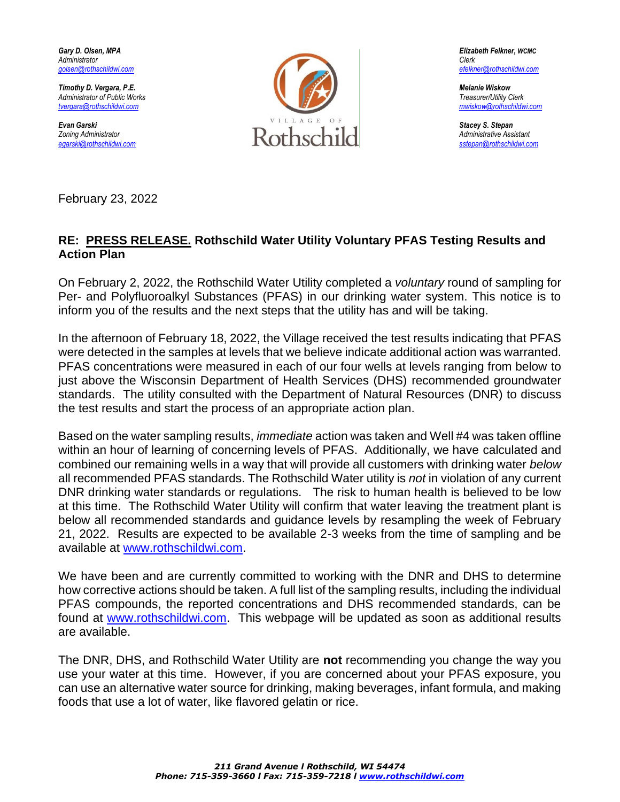

February 23, 2022

## **RE: PRESS RELEASE. Rothschild Water Utility Voluntary PFAS Testing Results and Action Plan**

On February 2, 2022, the Rothschild Water Utility completed a *voluntary* round of sampling for Per- and Polyfluoroalkyl Substances (PFAS) in our drinking water system. This notice is to inform you of the results and the next steps that the utility has and will be taking.

In the afternoon of February 18, 2022, the Village received the test results indicating that PFAS were detected in the samples at levels that we believe indicate additional action was warranted. PFAS concentrations were measured in each of our four wells at levels ranging from below to just above the Wisconsin Department of Health Services (DHS) recommended groundwater standards. The utility consulted with the Department of Natural Resources (DNR) to discuss the test results and start the process of an appropriate action plan.

Based on the water sampling results, *immediate* action was taken and Well #4 was taken offline within an hour of learning of concerning levels of PFAS. Additionally, we have calculated and combined our remaining wells in a way that will provide all customers with drinking water *below*  all recommended PFAS standards. The Rothschild Water utility is *not* in violation of any current DNR drinking water standards or regulations. The risk to human health is believed to be low at this time. The Rothschild Water Utility will confirm that water leaving the treatment plant is below all recommended standards and guidance levels by resampling the week of February 21, 2022. Results are expected to be available 2-3 weeks from the time of sampling and be available at [www.rothschildwi.com.](http://www.rothschildwi.com/)

We have been and are currently committed to working with the DNR and DHS to determine how corrective actions should be taken. A full list of the sampling results, including the individual PFAS compounds, the reported concentrations and DHS recommended standards, can be found at [www.rothschildwi.com.](http://www.rothschildwi.com/) This webpage will be updated as soon as additional results are available.

The DNR, DHS, and Rothschild Water Utility are **not** recommending you change the way you use your water at this time. However, if you are concerned about your PFAS exposure, you can use an alternative water source for drinking, making beverages, infant formula, and making foods that use a lot of water, like flavored gelatin or rice.